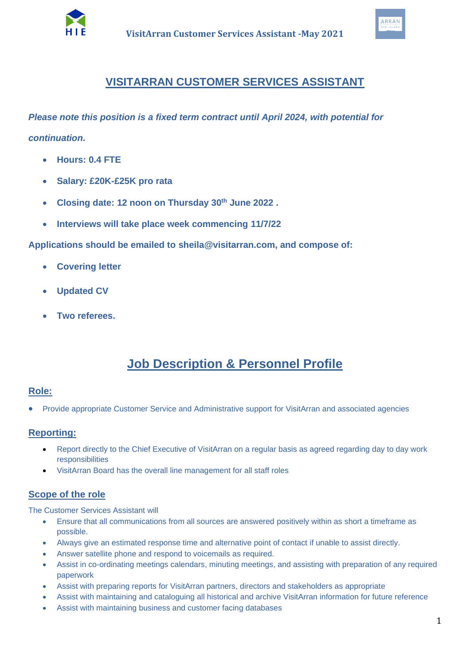



# **VISITARRAN CUSTOMER SERVICES ASSISTANT**

*Please note this position is a fixed term contract until April 2024, with potential for* 

*continuation.*

- **Hours: 0.4 FTE**
- **Salary: £20K-£25K pro rata**
- **Closing date: 12 noon on Thursday 30th June 2022 .**
- **Interviews will take place week commencing 11/7/22**

**Applications should be emailed to sheila@visitarran.com, and compose of:**

- **Covering letter**
- **Updated CV**
- **Two referees.**

# **Job Description & Personnel Profile**

#### **Role:**

• Provide appropriate Customer Service and Administrative support for VisitArran and associated agencies

#### **Reporting:**

- Report directly to the Chief Executive of VisitArran on a regular basis as agreed regarding day to day work responsibilities
- VisitArran Board has the overall line management for all staff roles

#### **Scope of the role**

The Customer Services Assistant will

- Ensure that all communications from all sources are answered positively within as short a timeframe as possible.
- Always give an estimated response time and alternative point of contact if unable to assist directly.
- Answer satellite phone and respond to voicemails as required.
- Assist in co-ordinating meetings calendars, minuting meetings, and assisting with preparation of any required paperwork
- Assist with preparing reports for VisitArran partners, directors and stakeholders as appropriate
- Assist with maintaining and cataloguing all historical and archive VisitArran information for future reference
- Assist with maintaining business and customer facing databases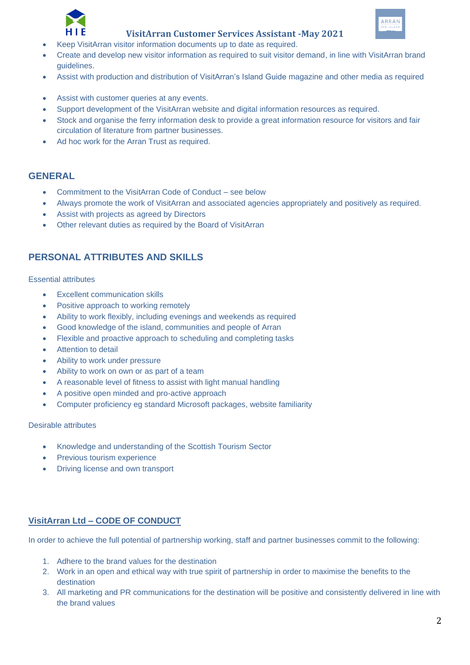

#### **VisitArran Customer Services Assistant -May 2021**



- Keep VisitArran visitor information documents up to date as required.
- Create and develop new visitor information as required to suit visitor demand, in line with VisitArran brand guidelines.
- Assist with production and distribution of VisitArran's Island Guide magazine and other media as required
- Assist with customer queries at any events.
- Support development of the VisitArran website and digital information resources as required.
- Stock and organise the ferry information desk to provide a great information resource for visitors and fair circulation of literature from partner businesses.
- Ad hoc work for the Arran Trust as required.

#### **GENERAL**

- Commitment to the VisitArran Code of Conduct see below
- Always promote the work of VisitArran and associated agencies appropriately and positively as required.
- Assist with projects as agreed by Directors
- Other relevant duties as required by the Board of VisitArran

## **PERSONAL ATTRIBUTES AND SKILLS**

Essential attributes

- **Excellent communication skills**
- Positive approach to working remotely
- Ability to work flexibly, including evenings and weekends as required
- Good knowledge of the island, communities and people of Arran
- Flexible and proactive approach to scheduling and completing tasks
- Attention to detail
- Ability to work under pressure
- Ability to work on own or as part of a team
- A reasonable level of fitness to assist with light manual handling
- A positive open minded and pro-active approach
- Computer proficiency eg standard Microsoft packages, website familiarity

#### Desirable attributes

- Knowledge and understanding of the Scottish Tourism Sector
- **Previous tourism experience**
- Driving license and own transport

#### **VisitArran Ltd – CODE OF CONDUCT**

In order to achieve the full potential of partnership working, staff and partner businesses commit to the following:

- 1. Adhere to the brand values for the destination
- 2. Work in an open and ethical way with true spirit of partnership in order to maximise the benefits to the destination
- 3. All marketing and PR communications for the destination will be positive and consistently delivered in line with the brand values